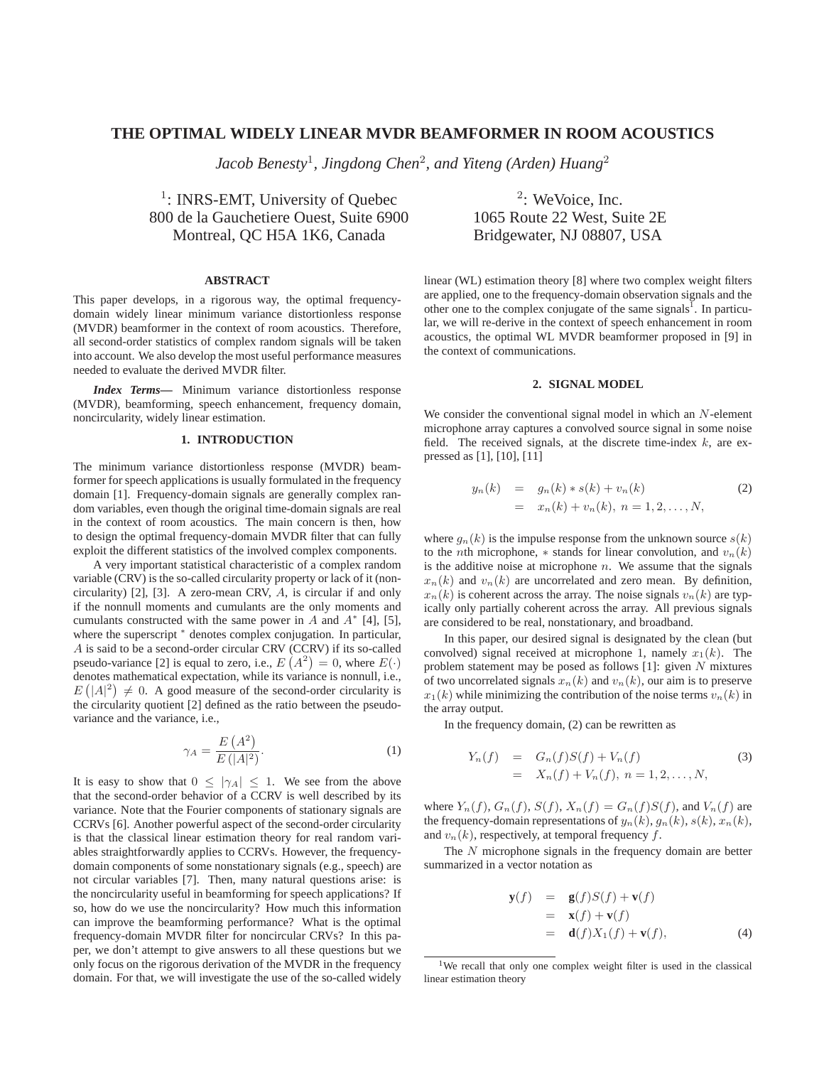# **THE OPTIMAL WIDELY LINEAR MVDR BEAMFORMER IN ROOM ACOUSTICS**

*Jacob Benesty*<sup>1</sup>*, Jingdong Chen*<sup>2</sup>*, and Yiteng (Arden) Huang*<sup>2</sup>

<sup>1</sup>: INRS-EMT, University of Quebec  $\frac{2}{3}$ : WeVoice, Inc. 800 de la Gauchetiere Ouest, Suite 6900 1065 Route 22 West, Suite 2E Montreal, QC H5A 1K6, Canada Bridgewater, NJ 08807, USA

## **ABSTRACT**

This paper develops, in a rigorous way, the optimal frequencydomain widely linear minimum variance distortionless response (MVDR) beamformer in the context of room acoustics. Therefore, all second-order statistics of complex random signals will be taken into account. We also develop the most useful performance measures needed to evaluate the derived MVDR filter.

*Index Terms***—** Minimum variance distortionless response (MVDR), beamforming, speech enhancement, frequency domain, noncircularity, widely linear estimation.

#### **1. INTRODUCTION**

The minimum variance distortionless response (MVDR) beamformer for speech applications is usually formulated in the frequency domain [1]. Frequency-domain signals are generally complex random variables, even though the original time-domain signals are real in the context of room acoustics. The main concern is then, how to design the optimal frequency-domain MVDR filter that can fully exploit the different statistics of the involved complex components.

A very important statistical characteristic of a complex random variable (CRV) is the so-called circularity property or lack of it (noncircularity) [2], [3]. A zero-mean CRV, A, is circular if and only if the nonnull moments and cumulants are the only moments and cumulants constructed with the same power in A and  $A^*$  [4], [5], where the superscript  $*$  denotes complex conjugation. In particular, A is said to be a second-order circular CRV (CCRV) if its so-called pseudo-variance [2] is equal to zero, i.e.,  $E(A^2) = 0$ , where  $E(\cdot)$  denotes mathematical expectation, while its variance is nonpull i.e. denotes mathematical expectation, while its variance is nonnull, i.e.,  $E(|A|^2) \neq 0$ . A good measure of the second-order circularity is<br>the circularity quotient [2] defined as the ratio between the pseudothe circularity quotient [2] defined as the ratio between the pseudovariance and the variance, i.e.,

$$
\gamma_A = \frac{E(A^2)}{E(|A|^2)}.\tag{1}
$$

It is easy to show that  $0 \le |\gamma_A| \le 1$ . We see from the above that the second-order behavior of a CCRV is well described by its variance. Note that the Fourier components of stationary signals are CCRVs [6]. Another powerful aspect of the second-order circularity is that the classical linear estimation theory for real random variables straightforwardly applies to CCRVs. However, the frequencydomain components of some nonstationary signals (e.g., speech) are not circular variables [7]. Then, many natural questions arise: is the noncircularity useful in beamforming for speech applications? If so, how do we use the noncircularity? How much this information can improve the beamforming performance? What is the optimal frequency-domain MVDR filter for noncircular CRVs? In this paper, we don't attempt to give answers to all these questions but we only focus on the rigorous derivation of the MVDR in the frequency domain. For that, we will investigate the use of the so-called widely

linear (WL) estimation theory [8] where two complex weight filters are applied, one to the frequency-domain observation signals and the other one to the complex conjugate of the same signals<sup>1</sup>. In particular, we will re-derive in the context of speech enhancement in room acoustics, the optimal WL MVDR beamformer proposed in [9] in the context of communications.

### **2. SIGNAL MODEL**

We consider the conventional signal model in which an N-element microphone array captures a convolved source signal in some noise field. The received signals, at the discrete time-index  $k$ , are expressed as [1], [10], [11]

$$
y_n(k) = g_n(k) * s(k) + v_n(k)
$$
  
=  $x_n(k) + v_n(k), n = 1, 2, ..., N,$  (2)

where  $g_n(k)$  is the impulse response from the unknown source  $s(k)$ to the *n*th microphone,  $*$  stands for linear convolution, and  $v_n(k)$ is the additive noise at microphone  $n$ . We assume that the signals  $x_n(k)$  and  $v_n(k)$  are uncorrelated and zero mean. By definition,  $x_n(k)$  is coherent across the array. The noise signals  $v_n(k)$  are typically only partially coherent across the array. All previous signals are considered to be real, nonstationary, and broadband.

In this paper, our desired signal is designated by the clean (but convolved) signal received at microphone 1, namely  $x_1(k)$ . The problem statement may be posed as follows  $[1]$ : given  $N$  mixtures of two uncorrelated signals  $x_n(k)$  and  $v_n(k)$ , our aim is to preserve  $x_1(k)$  while minimizing the contribution of the noise terms  $v_n(k)$  in the array output.

In the frequency domain, (2) can be rewritten as

$$
Y_n(f) = G_n(f)S(f) + V_n(f)
$$
\n
$$
= X_n(f) + V_n(f), \ n = 1, 2, ..., N,
$$
\n(3)

where  $Y_n(f)$ ,  $G_n(f)$ ,  $S(f)$ ,  $X_n(f) = G_n(f)S(f)$ , and  $V_n(f)$  are the frequency-domain representations of  $y_n(k)$ ,  $g_n(k)$ ,  $s(k)$ ,  $x_n(k)$ , and  $v_n(k)$ , respectively, at temporal frequency  $f$ .

The N microphone signals in the frequency domain are better summarized in a vector notation as

$$
\mathbf{y}(f) = \mathbf{g}(f)S(f) + \mathbf{v}(f)
$$
  
=  $\mathbf{x}(f) + \mathbf{v}(f)$   
=  $\mathbf{d}(f)X_1(f) + \mathbf{v}(f)$ , (4)

<sup>&</sup>lt;sup>1</sup>We recall that only one complex weight filter is used in the classical linear estimation theory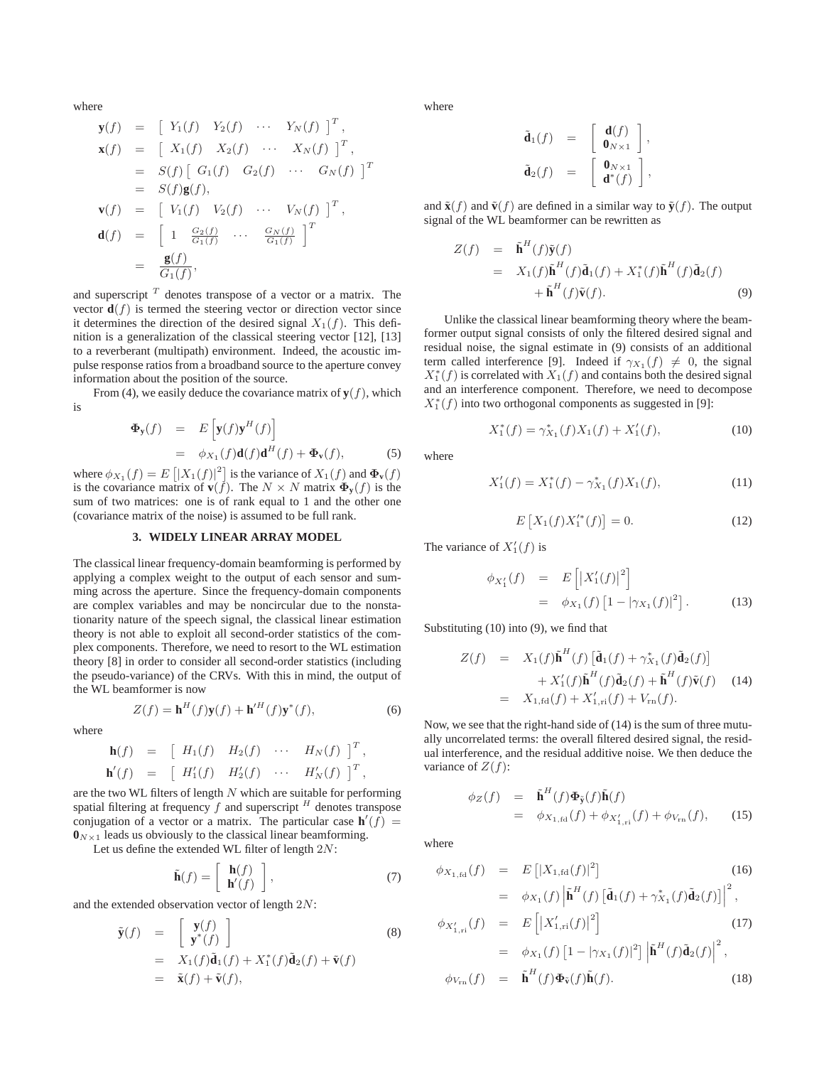where

$$
\mathbf{y}(f) = \begin{bmatrix} Y_1(f) & Y_2(f) & \cdots & Y_N(f) \end{bmatrix}^T,
$$
  
\n
$$
\mathbf{x}(f) = \begin{bmatrix} X_1(f) & X_2(f) & \cdots & X_N(f) \end{bmatrix}^T,
$$
  
\n
$$
= S(f) \begin{bmatrix} G_1(f) & G_2(f) & \cdots & G_N(f) \end{bmatrix}^T
$$
  
\n
$$
= S(f) \mathbf{g}(f),
$$
  
\n
$$
\mathbf{v}(f) = \begin{bmatrix} V_1(f) & V_2(f) & \cdots & V_N(f) \end{bmatrix}^T,
$$
  
\n
$$
\mathbf{d}(f) = \begin{bmatrix} 1 & \frac{G_2(f)}{G_1(f)} & \cdots & \frac{G_N(f)}{G_1(f)} \end{bmatrix}^T
$$
  
\n
$$
= \frac{\mathbf{g}(f)}{G_1(f)},
$$

and superscript *<sup>T</sup>* denotes transpose of a vector or a matrix. The vector  $\mathbf{d}(f)$  is termed the steering vector or direction vector since it determines the direction of the desired signal  $X_1(f)$ . This definition is a generalization of the classical steering vector [12], [13] to a reverberant (multipath) environment. Indeed, the acoustic impulse response ratios from a broadband source to the aperture convey information about the position of the source.

From (4), we easily deduce the covariance matrix of  $y(f)$ , which is

$$
\begin{array}{rcl}\n\Phi_{\mathbf{y}}(f) & = & E\left[\mathbf{y}(f)\mathbf{y}^H(f)\right] \\
& = & \phi_{X_1}(f)\mathbf{d}(f)\mathbf{d}^H(f) + \Phi_{\mathbf{v}}(f),\n\end{array} \tag{5}
$$

where  $\phi_{X_1}(f) = E\left[ |X_1(f)|^2 \right]$  is the variance of  $X_1(f)$  and  $\Phi_{\mathbf{v}}(f)$  is the covariance matrix of  $\mathbf{v}(f)$ . The  $N \times N$  matrix  $\Phi_{\mathbf{v}}(f)$  is the is the covariance matrix of **v**( $\vec{f}$ ). The  $N \times N$  matrix  $\Phi_y(f)$  is the sum of two matrices: one is of rank equal to 1 and the other one (covariance matrix of the noise) is assumed to be full rank.

#### **3. WIDELY LINEAR ARRAY MODEL**

The classical linear frequency-domain beamforming is performed by applying a complex weight to the output of each sensor and summing across the aperture. Since the frequency-domain components are complex variables and may be noncircular due to the nonstationarity nature of the speech signal, the classical linear estimation theory is not able to exploit all second-order statistics of the complex components. Therefore, we need to resort to the WL estimation theory [8] in order to consider all second-order statistics (including the pseudo-variance) of the CRVs. With this in mind, the output of the WL beamformer is now

$$
Z(f) = \mathbf{h}^H(f)\mathbf{y}(f) + \mathbf{h}'^H(f)\mathbf{y}^*(f),\tag{6}
$$

where

$$
\mathbf{h}(f) = \begin{bmatrix} H_1(f) & H_2(f) & \cdots & H_N(f) \end{bmatrix}^T,
$$
  
\n
$$
\mathbf{h}'(f) = \begin{bmatrix} H'_1(f) & H'_2(f) & \cdots & H'_N(f) \end{bmatrix}^T,
$$

are the two WL filters of length N which are suitable for performing<br>spatial filtering at frequency f and superscript  $H$  denotes transpose spatial filtering at frequency f and superscript <sup>H</sup> denotes transpose<br>conjugation of a vector or a matrix. The particular case  $h'(f)$ conjugation of a vector or a matrix. The particular case  $\mathbf{h}'(f) = \mathbf{0}_{\text{NLO}}$  leads us obviously to the classical linear beamforming  $\mathbf{0}_{N \times 1}$  leads us obviously to the classical linear beamforming.

Let us define the extended WL filter of length  $2N$ :

$$
\tilde{\mathbf{h}}(f) = \left[ \begin{array}{c} \mathbf{h}(f) \\ \mathbf{h}'(f) \end{array} \right],\tag{7}
$$

and the extended observation vector of length  $2N$ :

$$
\tilde{\mathbf{y}}(f) = \begin{bmatrix} \mathbf{y}(f) \\ \mathbf{y}^*(f) \end{bmatrix}
$$
\n
$$
= X_1(f)\tilde{\mathbf{d}}_1(f) + X_1^*(f)\tilde{\mathbf{d}}_2(f) + \tilde{\mathbf{v}}(f)
$$
\n
$$
= \tilde{\mathbf{x}}(f) + \tilde{\mathbf{v}}(f),
$$
\n(8)

where

$$
\tilde{\mathbf{d}}_1(f) = \begin{bmatrix} \mathbf{d}(f) \\ \mathbf{0}_{N \times 1} \end{bmatrix}, \n\tilde{\mathbf{d}}_2(f) = \begin{bmatrix} \mathbf{0}_{N \times 1} \\ \mathbf{d}^*(f) \end{bmatrix},
$$

and  $\tilde{\mathbf{x}}(f)$  and  $\tilde{\mathbf{v}}(f)$  are defined in a similar way to  $\tilde{\mathbf{y}}(f)$ . The output signal of the WL beamformer can be rewritten as

$$
Z(f) = \tilde{\mathbf{h}}^{H}(f)\tilde{\mathbf{y}}(f)
$$
  
=  $X_{1}(f)\tilde{\mathbf{h}}^{H}(f)\tilde{\mathbf{d}}_{1}(f) + X_{1}^{*}(f)\tilde{\mathbf{h}}^{H}(f)\tilde{\mathbf{d}}_{2}(f)$   
+  $\tilde{\mathbf{h}}^{H}(f)\tilde{\mathbf{v}}(f).$  (9)

Unlike the classical linear beamforming theory where the beamformer output signal consists of only the filtered desired signal and residual noise, the signal estimate in (9) consists of an additional term called interference [9]. Indeed if  $\gamma_{X_1}(f) \neq 0$ , the signal  $X^*_1(f)$  is correlated with  $X_1(f)$  and contains both the desired signal<br>and an interference component. Therefore, we need to decompose and an interference component. Therefore, we need to decompose  $X_1^*(f)$  into two orthogonal components as suggested in [9]:

$$
X_1^*(f) = \gamma_{X_1}^*(f)X_1(f) + X_1'(f), \tag{10}
$$

where

$$
X_1'(f) = X_1^*(f) - \gamma_{X_1}^*(f)X_1(f), \tag{11}
$$

$$
E\left[X_1(f)X_1'^*(f)\right] = 0.\t(12)
$$

The variance of  $X_1'(f)$  is

$$
\begin{aligned}\n\phi_{X_1'}(f) &= E\left[ \left| X_1'(f) \right|^2 \right] \\
&= \phi_{X_1}(f) \left[ 1 - \left| \gamma_{X_1}(f) \right|^2 \right].\n\end{aligned} \tag{13}
$$

Substituting (10) into (9), we find that

$$
Z(f) = X_1(f)\tilde{\mathbf{h}}^H(f) [\tilde{\mathbf{d}}_1(f) + \gamma_{X_1}^*(f)\tilde{\mathbf{d}}_2(f)]
$$
  
+ 
$$
X'_1(f)\tilde{\mathbf{h}}^H(f)\tilde{\mathbf{d}}_2(f) + \tilde{\mathbf{h}}^H(f)\tilde{\mathbf{v}}(f)
$$
(14)  
= 
$$
X_{1,fd}(f) + X'_{1,ri}(f) + V_{rn}(f).
$$

Now, we see that the right-hand side of (14) is the sum of three mutually uncorrelated terms: the overall filtered desired signal, the residual interference, and the residual additive noise. We then deduce the variance of  $Z(f)$ :

$$
\begin{array}{rcl}\n\phi_Z(f) & = & \tilde{\mathbf{h}}^H(f)\Phi_{\tilde{\mathbf{y}}}(f)\tilde{\mathbf{h}}(f) \\
& = & \phi_{X_{1,\text{fd}}}(f) + \phi_{X'_{1,\text{ri}}}(f) + \phi_{V_{\text{rn}}}(f),\n\end{array} \tag{15}
$$

where

$$
\phi_{X_{1, \text{fd}}}(f) = E[|X_{1, \text{fd}}(f)|^{2}]
$$
\n
$$
= \phi_{X_{1}}(f) \left| \tilde{\mathbf{h}}^{H}(f) \left[ \tilde{\mathbf{d}}_{1}(f) + \gamma_{X_{1}}^{*}(f) \tilde{\mathbf{d}}_{2}(f) \right] \right|^{2},
$$
\n(16)

$$
\phi_{X'_{1,\text{ri}}}(f) = E\left[|X'_{1,\text{ri}}(f)|^2\right]
$$
(17)

$$
= \phi_{X_1}(f) \left[1 - |\gamma_{X_1}(f)|^2\right] \left|\tilde{\mathbf{h}}^H(f)\tilde{\mathbf{d}}_2(f)\right|^2,
$$
  

$$
\phi_{V_{\rm rn}}(f) = \tilde{\mathbf{h}}^H(f)\Phi_{\tilde{\mathbf{v}}}(f)\tilde{\mathbf{h}}(f).
$$
 (18)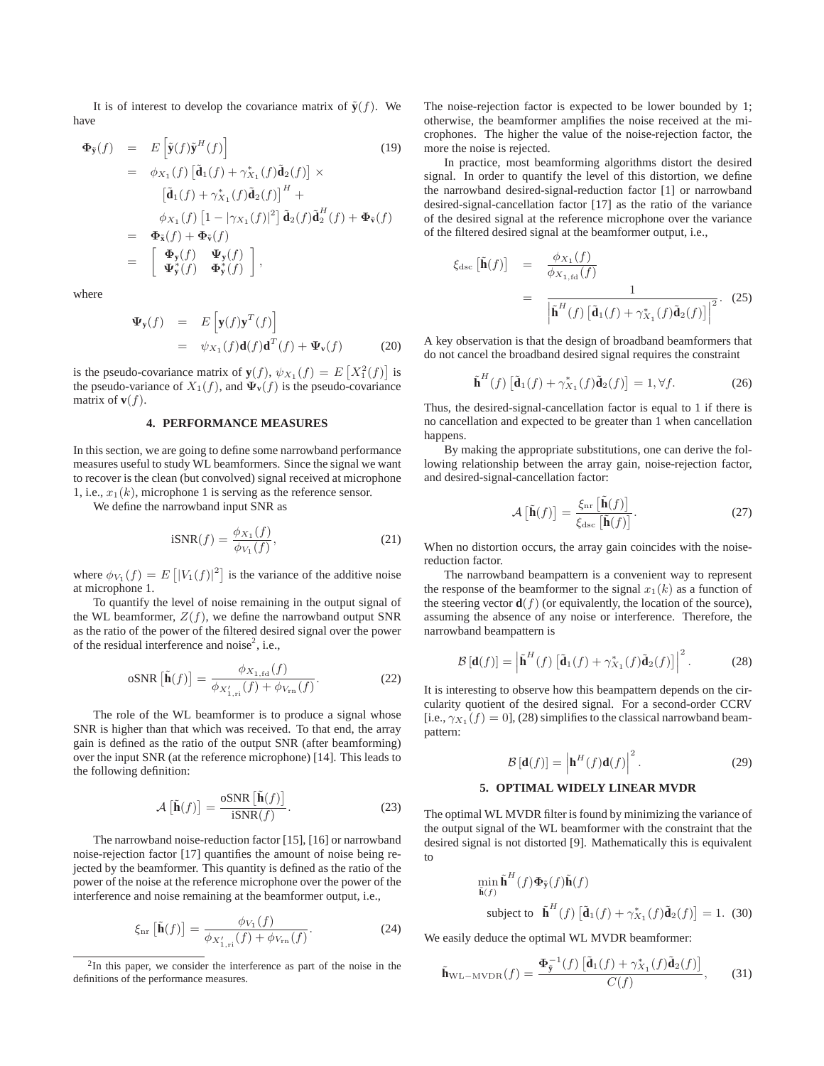It is of interest to develop the covariance matrix of  $\tilde{\mathbf{v}}(f)$ . We have

$$
\Phi_{\tilde{\mathbf{y}}}(f) = E\left[\tilde{\mathbf{y}}(f)\tilde{\mathbf{y}}^H(f)\right]
$$
(19)  
\n
$$
= \phi_{X_1}(f) \left[\tilde{\mathbf{d}}_1(f) + \gamma_{X_1}^*(f)\tilde{\mathbf{d}}_2(f)\right] \times
$$
  
\n
$$
\left[\tilde{\mathbf{d}}_1(f) + \gamma_{X_1}^*(f)\tilde{\mathbf{d}}_2(f)\right]^H +
$$
  
\n
$$
\phi_{X_1}(f) \left[1 - |\gamma_{X_1}(f)|^2\right] \tilde{\mathbf{d}}_2(f) \tilde{\mathbf{d}}_2^H(f) + \Phi_{\tilde{\mathbf{v}}}(f)
$$
  
\n
$$
= \Phi_{\tilde{\mathbf{x}}}(f) + \Phi_{\tilde{\mathbf{v}}}(f)
$$
  
\n
$$
= \left[\begin{array}{cc} \Phi_{\mathbf{y}}(f) & \Psi_{\mathbf{y}}(f) \\ \Psi_{\tilde{\mathbf{y}}}(f) & \Phi_{\tilde{\mathbf{y}}}(f) \end{array}\right],
$$

where

$$
\Psi_{\mathbf{y}}(f) = E\left[\mathbf{y}(f)\mathbf{y}^{T}(f)\right]
$$
  
=  $\psi_{X_{1}}(f)\mathbf{d}(f)\mathbf{d}^{T}(f) + \Psi_{\mathbf{v}}(f)$  (20)

is the pseudo-covariance matrix of  $\mathbf{y}(f)$ ,  $\psi_{X_1}(f) = E\left[X_1^2(f)\right]$  is<br>the pseudo-variance of  $X_1(f)$  and  $\Psi_{-}(f)$  is the pseudo-covariance the pseudo-variance of  $X_1(f)$ , and  $\Psi_\mathbf{v}(f)$  is the pseudo-covariance matrix of  $\mathbf{v}(f)$ .

### **4. PERFORMANCE MEASURES**

In this section, we are going to define some narrowband performance measures useful to study WL beamformers. Since the signal we want to recover is the clean (but convolved) signal received at microphone 1, i.e.,  $x_1(k)$ , microphone 1 is serving as the reference sensor.

We define the narrowband input SNR as

$$
iSNR(f) = \frac{\phi_{X_1}(f)}{\phi_{V_1}(f)},
$$
\n(21)

where  $\phi_{V_1}(f) = E\left[ |V_1(f)|^2 \right]$  is the variance of the additive noise at microphone 1 at microphone 1.

To quantify the level of noise remaining in the output signal of the WL beamformer,  $Z(f)$ , we define the narrowband output SNR as the ratio of the power of the filtered desired signal over the power of the residual interference and noise<sup>2</sup>, i.e.,

$$
\text{oSNR} \left[ \tilde{\mathbf{h}}(f) \right] = \frac{\phi_{X_{1,\text{fd}}}(f)}{\phi_{X'_{1,\text{ri}}}(f) + \phi_{V_{\text{rn}}}(f)}.
$$
 (22)

The role of the WL beamformer is to produce a signal whose SNR is higher than that which was received. To that end, the array gain is defined as the ratio of the output SNR (after beamforming) over the input SNR (at the reference microphone) [14]. This leads to the following definition:

$$
\mathcal{A}\left[\tilde{\mathbf{h}}(f)\right] = \frac{\text{oSNR}\left[\tilde{\mathbf{h}}(f)\right]}{\text{iSNR}(f)}.\tag{23}
$$

The narrowband noise-reduction factor [15], [16] or narrowband noise-rejection factor [17] quantifies the amount of noise being rejected by the beamformer. This quantity is defined as the ratio of the power of the noise at the reference microphone over the power of the interference and noise remaining at the beamformer output, i.e.,

$$
\xi_{\text{nr}}\left[\tilde{\mathbf{h}}(f)\right] = \frac{\phi_{V_1}(f)}{\phi_{X'_{1,\text{ri}}}(f) + \phi_{V_{\text{rn}}}(f)}.\tag{24}
$$

The noise-rejection factor is expected to be lower bounded by 1; otherwise, the beamformer amplifies the noise received at the microphones. The higher the value of the noise-rejection factor, the more the noise is rejected.

In practice, most beamforming algorithms distort the desired signal. In order to quantify the level of this distortion, we define the narrowband desired-signal-reduction factor [1] or narrowband desired-signal-cancellation factor [17] as the ratio of the variance of the desired signal at the reference microphone over the variance of the filtered desired signal at the beamformer output, i.e.,

$$
\xi_{\rm dsc} \left[ \tilde{\mathbf{h}}(f) \right] = \frac{\phi_{X_1}(f)}{\phi_{X_{1, \rm fd}}(f)} \n= \frac{1}{\left| \tilde{\mathbf{h}}^H(f) \left[ \tilde{\mathbf{d}}_1(f) + \gamma_{X_1}^*(f) \tilde{\mathbf{d}}_2(f) \right] \right|^2}.
$$
\n(25)

A key observation is that the design of broadband beamformers that do not cancel the broadband desired signal requires the constraint

$$
\tilde{\mathbf{h}}^{H}(f) \left[ \tilde{\mathbf{d}}_{1}(f) + \gamma_{X_{1}}^{*}(f) \tilde{\mathbf{d}}_{2}(f) \right] = 1, \forall f.
$$
 (26)

Thus, the desired-signal-cancellation factor is equal to 1 if there is no cancellation and expected to be greater than 1 when cancellation happens.

By making the appropriate substitutions, one can derive the following relationship between the array gain, noise-rejection factor, and desired-signal-cancellation factor:

$$
\mathcal{A}\left[\tilde{\mathbf{h}}(f)\right] = \frac{\xi_{\text{nr}}\left[\tilde{\mathbf{h}}(f)\right]}{\xi_{\text{dsc}}\left[\tilde{\mathbf{h}}(f)\right]}.
$$
\n(27)

When no distortion occurs, the array gain coincides with the noisereduction factor.

The narrowband beampattern is a convenient way to represent the response of the beamformer to the signal  $x_1(k)$  as a function of the steering vector  $\mathbf{d}(f)$  (or equivalently, the location of the source), assuming the absence of any noise or interference. Therefore, the narrowband beampattern is

$$
\mathcal{B}\left[\mathbf{d}(f)\right] = \left|\tilde{\mathbf{h}}^{H}(f)\left[\tilde{\mathbf{d}}_{1}(f) + \gamma_{X_{1}}^{*}(f)\tilde{\mathbf{d}}_{2}(f)\right]\right|^{2}.
$$
 (28)

It is interesting to observe how this beampattern depends on the circularity quotient of the desired signal. For a second-order CCRV [i.e.,  $\gamma_{X_1}(f)=0$ ], (28) simplifies to the classical narrowband beampattern:

$$
\mathcal{B}\left[\mathbf{d}(f)\right] = \left|\mathbf{h}^{H}(f)\mathbf{d}(f)\right|^{2}.
$$
 (29)

#### **5. OPTIMAL WIDELY LINEAR MVDR**

The optimal WL MVDR filter is found by minimizing the variance of the output signal of the WL beamformer with the constraint that the desired signal is not distorted [9]. Mathematically this is equivalent to

$$
\min_{\tilde{\mathbf{h}}(f)} \tilde{\mathbf{h}}^H(f) \Phi_{\tilde{\mathbf{y}}}(f) \tilde{\mathbf{h}}(f)
$$
\nsubject to 
$$
\tilde{\mathbf{h}}^H(f) \left[ \tilde{\mathbf{d}}_1(f) + \gamma_{X_1}^*(f) \tilde{\mathbf{d}}_2(f) \right] = 1.
$$
 (30)

We easily deduce the optimal WL MVDR beamformer:

$$
\tilde{\mathbf{h}}_{\text{WL-MVDR}}(f) = \frac{\mathbf{\Phi}_{\tilde{\mathbf{y}}}^{-1}(f) \left[ \tilde{\mathbf{d}}_1(f) + \gamma_{X_1}^*(f) \tilde{\mathbf{d}}_2(f) \right]}{C(f)},\qquad(31)
$$

<sup>&</sup>lt;sup>2</sup>In this paper, we consider the interference as part of the noise in the definitions of the performance measures.